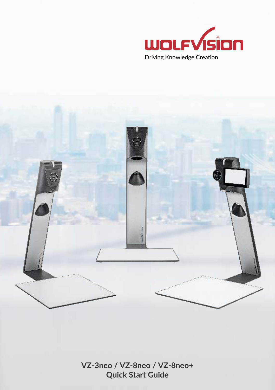



**VZ-3neo / VZ-8neo / VZ-8neo+ Quick Start Guide**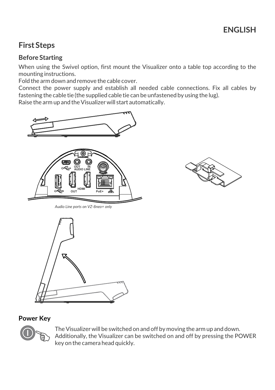# **First Steps**

## **Before Starting**

When using the Swivel option, first mount the Visualizer onto a table top according to the mounting instructions.

Fold the arm down and remove the cable cover.

Connect the power supply and establish all needed cable connections. Fix all cables by fastening the cable tie (the supplied cable tie can be unfastened by using the lug).

Raise the arm up and the Visualizer will start automatically.





*Audio Line ports on VZ-8neo+ only*



### **Power Key**



The Visualizer will be switched on and off by moving the arm up and down. Additionally, the Visualizer can be switched on and off by pressing the POWER key on the camera head quickly.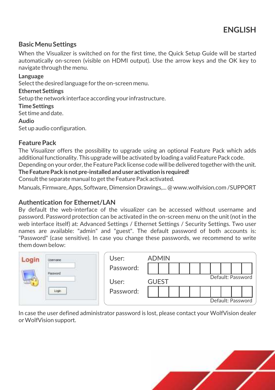### **Basic Menu Settings**

When the Visualizer is switched on for the first time, the Quick Setup Guide will be started automatically on-screen (visible on HDMI output). Use the arrow keys and the OK key to navigate through the menu.

#### **Language**

Select the desired language for the on-screen menu.

#### **Ethernet Settings**

Setup the network interface according your infrastructure.

#### **Time Settings**

Set time and date.

#### **Audio**

Set up audio configuration.

### **Feature Pack**

The Visualizer offers the possibility to upgrade using an optional Feature Pack which adds additional functionality. This upgrade will be activated by loading a valid Feature Pack code.

Depending on your order, the Feature Pack license code will be delivered together with the unit. **The Feature Pack is not pre-installed and user activation is required!**

Consult the separate manual to get the Feature Pack activated.

Manuals, Firmware, Apps, Software, Dimension Drawings,... @ www.wolfvision.com /SUPPORT

### **Authentication for Ethernet/LAN**

By default the web-interface of the visualizer can be accessed without username and password. Password protection can be activated in the on-screen menu on the unit (not in the web interface itself) at: Advanced Settings / Ethernet Settings / Security Settings. Two user names are available: "admin" and "guest". The default password of both accounts is: "Password" (case sensitive). In case you change these passwords, we recommend to write them down below:

| ogin | <b>INSTRUCTION</b> | User:     | <b>ADMIN</b> |  |  |  |                   |  |  |  |  |                   |
|------|--------------------|-----------|--------------|--|--|--|-------------------|--|--|--|--|-------------------|
|      | <b>MONDAY</b>      | Password: |              |  |  |  |                   |  |  |  |  |                   |
|      |                    | User:     | <b>GUEST</b> |  |  |  | Default: Password |  |  |  |  |                   |
|      | Login              | Password: |              |  |  |  |                   |  |  |  |  |                   |
|      |                    |           |              |  |  |  |                   |  |  |  |  | Default: Password |

In case the user defined administrator password is lost, please contact your WolfVision dealer or WolfVision support.

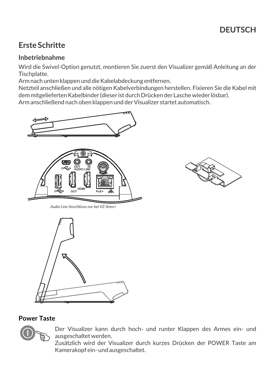# **Erste Schritte**

### **Inbetriebnahme**

Wird die Swivel-Option genutzt, montieren Sie zuerst den Visualizer gemäß Anleitung an der Tischplatte.

Arm nach unten klappen und die Kabelabdeckung entfernen.

Netzteil anschließen und alle nötigen Kabelverbindungen herstellen. Fixieren Sie die Kabel mit dem mitgelieferten Kabelbinder (dieser ist durch Drücken der Lasche wieder lösbar). Arm anschließend nach oben klappen und der Visualizer startet automatisch.





*Audio Line Anschlüsse nur bei VZ-8neo+*



## **Power Taste**



Der Visualizer kann durch hoch- und runter Klappen des Armes ein- und ausgeschaltet werden.

 Kamerakopf ein- und ausgeschaltet. Zusätzlich wird der Visualizer durch kurzes Drücken der POWER Taste am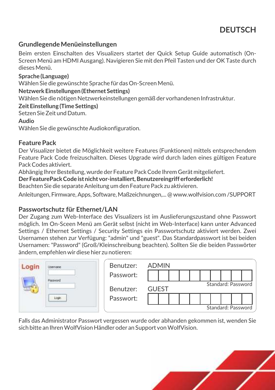### **Grundlegende Menüeinstellungen**

Beim ersten Einschalten des Visualizers startet der Quick Setup Guide automatisch (On-Screen Menü am HDMI Ausgang). Navigieren Sie mit den Pfeil Tasten und der OK Taste durch dieses Menü.

#### **Sprache (Language)**

Wählen Sie die gewünschte Sprache für das On-Screen Menü.

#### **Netzwerk Einstellungen (Ethernet Settings)**

Wählen Sie die nötigen Netzwerkeinstellungen gemäß der vorhandenen Infrastruktur.

#### **Zeit Einstellung (Time Settings)**

Setzen Sie Zeit und Datum.

#### **Audio**

Wählen Sie die gewünschte Audiokonfiguration.

### **Feature Pack**

Der Visualizer bietet die Möglichkeit weitere Features (Funktionen) mittels entsprechendem Feature Pack Code freizuschalten. Dieses Upgrade wird durch laden eines gültigen Feature Pack Codes aktiviert.

Abhängig Ihrer Bestellung, wurde der Feature Pack Code Ihrem Gerät mitgeliefert.

**Der FeaturePack Code ist nicht vor-installiert, Benutzereingriff erforderlich!**

Beachten Sie die separate Anleitung um den Feature Pack zu aktivieren.

Anleitungen, Firmware, Apps, Software, Maßzeichnungen,... @ www.wolfvision.com /SUPPORT

### **Passwortschutz für Ethernet/LAN**

Der Zugang zum Web-Interface des Visualizers ist im Auslieferungszustand ohne Passwort möglich. Im On-Sceen Menü am Gerät selbst (nicht im Web-Interface) kann unter Advanced Settings / Ethernet Settings / Security Settings ein Passwortschutz aktiviert werden. Zwei Usernamen stehen zur Verfügung: "admin" und "guest". Das Standardpasswort ist bei beiden Usernamen: "Password" (Groß/Kleinschreibung beachten). Sollten Sie die beiden Passwörter ändern, empfehlen wir diese hier zu notieren:

|  | <b>SADA</b> | Benutzer: | <b>ADMIN</b>       |  |                    |  |  |  |  |  |  |  |
|--|-------------|-----------|--------------------|--|--------------------|--|--|--|--|--|--|--|
|  |             | Passwort: |                    |  |                    |  |  |  |  |  |  |  |
|  |             | Benutzer: | <b>GUEST</b>       |  | Standard: Password |  |  |  |  |  |  |  |
|  |             | Passwort: |                    |  |                    |  |  |  |  |  |  |  |
|  |             |           | Standard: Password |  |                    |  |  |  |  |  |  |  |

Falls das Administrator Passwort vergessen wurde oder abhanden gekommen ist, wenden Sie sich bitte an Ihren WolfVision Händler oder an Support von WolfVision.

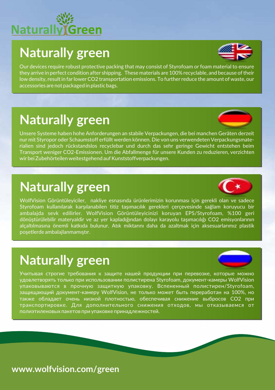# **Naturally** <u>Freen</u>

# **Naturally green**



Our devices require robust protective packing that may consist of Styrofoam or foam material to ensure they arrive in perfect condition after shipping. These materials are 100% recyclable, and because of their low density, result in far lower CO2 transportation emissions. To further reduce the amount of waste, our accessories are not packaged in plastic bags.

# **Naturally green**

Unsere Systeme haben hohe Anforderungen an stabile Verpackungen, die bei manchen Geräten derzeit nur mit Styropor oder Schaumstoff erfüllt werden können. Die von uns verwendeten Verpackungsmaterialien sind jedoch rückstandslos recyclebar und durch das sehr geringe Gewicht entstehen beim Transport weniger CO2-Emissionen. Um die Abfallmenge für unsere Kunden zu reduzieren, verzichten wir bei Zubehörteilen weitestgehend auf Kunststoffverpackungen.

# **Naturally green**



WolfVision Görüntüleyiciler, nakliye esnasında ürünlerimizin korunması için gerekli olan ve sadece Styrofoam kullanılarak karşılanabilen titiz taşımacılık gerekleri çerçevesinde sağlam koruyucu bir ambalajda sevk edilirler. WolfVision Görüntüleyicinizi koruyan EPS/Styrofoam, %100 geri dönüştürülebilir materyaldir ve az yer kapladığından dolayı karayolu taşımacılığı CO2 emisyonlarının alçaltılmasına önemli katkıda bulunur. Atık miktarını daha da azaltmak için aksesuarlarımız plastik poşetlerde ambalajlanmamıştır.

# **Naturally green**



Учитывая строгие требования к защите нашей продукции при перевозке, которые можно удовлетворять только при использовании полистирена Styrofoam, документ-камеры WolfVision упаковываются в прочную защитную упаковку. Вспененный полистирен/Styrofoam, защищающий документ-камеру WolfVision, не только может быть переработан на 100%, но также обладает очень низкой плотностью, обеспечивая снижение выбросов СО2 при транспортировке. Для дополнительного снижения отходов, мы отказываемся от полиэтиленовых пакетов при упаковке принадлежностей.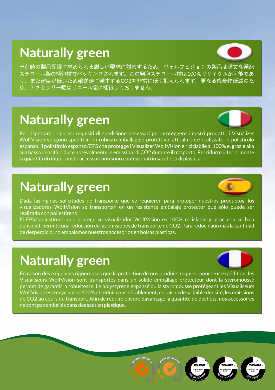# **Naturally green**



出荷時の製品保護に求められる厳しい要求に対応するため、ヴォルフビジョンの製品は頑丈な発泡 スチロール製の梱包材でパッキングされます。この発泡スチロール材は100%リサイクルが可能であ り、また密度が低いため輸送時に発生するCO2を非常に低く抑えられます。更なる廃棄物低減のた め、アクセサリー類はビニール袋に梱包しておりません。

# **Naturally green**



Per rispettare i rigorosi requisiti di spedizione necessari per proteggere i nostri prodotti, i Visualizer WolfVision vengono spediti in un robusto imballaggio protettivo, attualmente realizzato in polistirolo espanso. Il polistirolo espanso/EPS che protegge i Visualizer WolfVision è riciclabile al 100% e, grazie alla sua bassa densità, riduce notevolmente le emissioni di CO2 durante il trasporto. Per ridurre ulteriormente la quantità di rifiuti, i nostri accessori non sono confezionati in sacchetti di plastica.

# **Naturally green**



Dada las rígidas solicitudes de transporte que se requieren para proteger nuestros productos, los visualizadores WolfVision se transportan en un resistente embalaje protector que sólo puede ser realizado con poliestireno.

El EPS/poliestireno que protege su visualizador WolfVision es 100% reciclable y, gracias a su baja densidad, permite una reducción de las emisiones de transporte de CO2. Para reducir aún más la cantidad de desperdicio, no embalamos nuestros accesorios en bolsas plásticas.

# **Naturally green**



En raison des exigences rigoureuses que la protection de nos produits requiert pour leur expédition, les Visualiseurs WolfVision sont transportés dans un solide emballage protecteur dont la styromousse permet de garantir la robustesse. Le polystyrène expansé ou la styromousse protégeant les Visualiseurs WolfVision est recyclable à 100% et réduit considérablement, en raison de sa faible densité, les émissions de CO2 au cours du transport. Afin de réduire encore davantage la quantité de déchets, nos accessoires ne sont pas emballés dans des sacs en plastique.